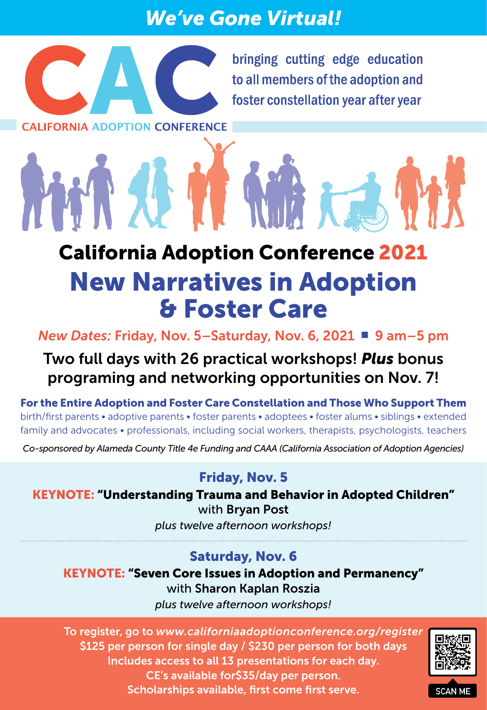# *We've Gone Virtual!*



bringing cutting edge education to all members of the adoption and foster constellation year after year

**CALIFORNIA ADOPTION CONFERENCE** 

# California Adoption Conference 2021 New Narratives in Adoption & Foster Care

*New Dates: Friday, Nov. 5-Saturday, Nov. 6, 2021* ■ 9 am–5 pm

## Two full days with 26 practical workshops! *Plus* bonus programing and networking opportunities on Nov. 7!

For the Entire Adoption and Foster Care Constellation and Those Who Support Them birth/first parents • adoptive parents • foster parents • adoptees • foster alums • siblings • extended family and advocates • professionals, including social workers, therapists, psychologists, teachers

*Co-sponsored by Alameda County Title 4e Funding and CAAA (California Association of Adoption Agencies)*

### Friday, Nov. 5

KEYNOTE: "Understanding Trauma and Behavior in Adopted Children" with Bryan Post

*plus twelve afternoon workshops!*

#### Saturday, Nov. 6

KEYNOTE: "Seven Core Issues in Adoption and Permanency" with Sharon Kaplan Roszia

*plus twelve afternoon workshops!*

To register, go to *[www.californiaadoptionconference.org/register](http://www.californiaadoptionconference.org/register)* \$125 per person for single day / \$230 per person for both days Includes access to all 13 presentations for each day. CE's available for\$35/day per person. Scholarships available, first come first serve.